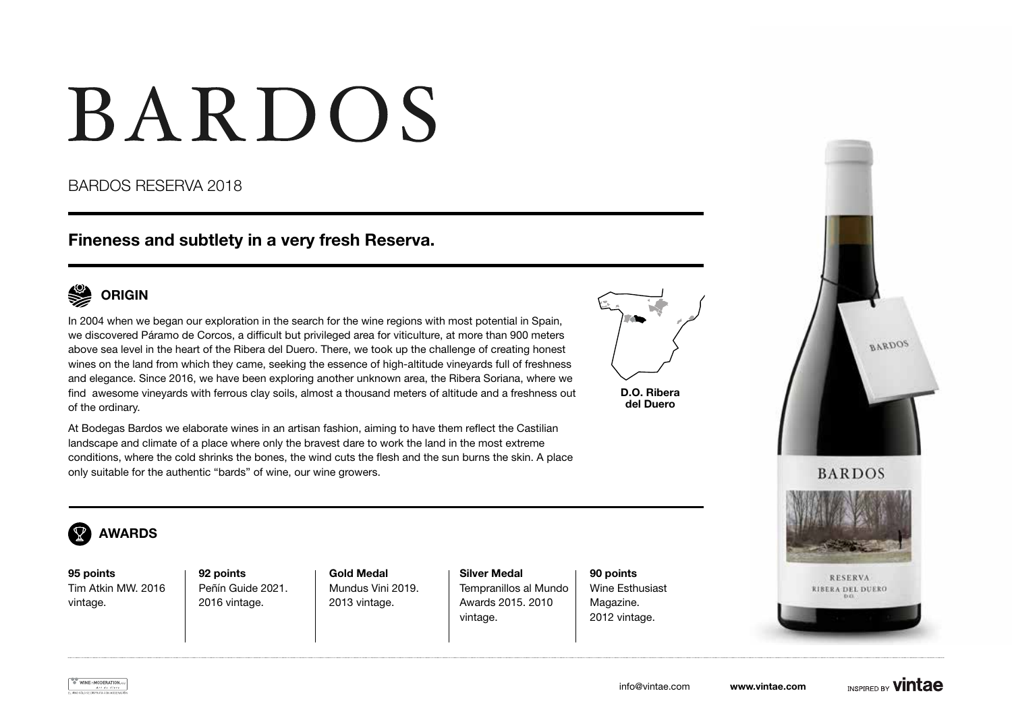# BARDOS

### BARDOS RESERVA 2018

## Fineness and subtlety in a very fresh Reserva.



In 2004 when we began our exploration in the search for the wine regions with most potential in Spain, we discovered Páramo de Corcos, a difficult but privileged area for viticulture, at more than 900 meters above sea level in the heart of the Ribera del Duero. There, we took up the challenge of creating honest wines on the land from which they came, seeking the essence of high-altitude vineyards full of freshness and elegance. Since 2016, we have been exploring another unknown area, the Ribera Soriana, where we find awesome vineyards with ferrous clay soils, almost a thousand meters of altitude and a freshness out of the ordinary.



D.O. Ribera del Duero

At Bodegas Bardos we elaborate wines in an artisan fashion, aiming to have them reflect the Castilian landscape and climate of a place where only the bravest dare to work the land in the most extreme conditions, where the cold shrinks the bones, the wind cuts the flesh and the sun burns the skin. A place only suitable for the authentic "bards" of wine, our wine growers.





95 points Tim Atkin MW. 2016 vintage.

92 points Peñín Guide 2021. 2016 vintage.

Gold Medal Mundus Vini 2019. 2013 vintage.

Silver Medal Tempranillos al Mundo Awards 2015. 2010 vintage.

90 points Wine Esthusiast Magazine. 2012 vintage.